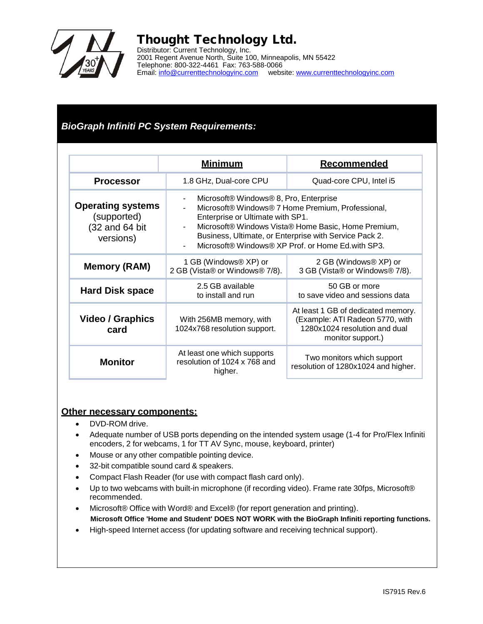

## Thought Technology Ltd.

Distributor: Current Technology, Inc. 2001 Regent Avenue North, Suite 100, Minneapolis, MN 55422 Telephone: 800-322-4461 Fax: 763-588-0066 Email: [info@currenttechnologyinc.com](mailto:info@currenttechnologyinc.com) website: [www.currenttechnologyinc.com](http://www.currenttechnologyinc.com/)

### *BioGraph Infiniti PC System Requirements:*

|                                                                        | <u>Minimum</u>                                                                                                                                                                                                                                                                                        | <b>Recommended</b>                                                                                                          |
|------------------------------------------------------------------------|-------------------------------------------------------------------------------------------------------------------------------------------------------------------------------------------------------------------------------------------------------------------------------------------------------|-----------------------------------------------------------------------------------------------------------------------------|
| <b>Processor</b>                                                       | 1.8 GHz, Dual-core CPU                                                                                                                                                                                                                                                                                | Quad-core CPU, Intel i5                                                                                                     |
| <b>Operating systems</b><br>(supported)<br>(32 and 64 bit<br>versions) | Microsoft® Windows® 8, Pro, Enterprise<br>Microsoft® Windows® 7 Home Premium, Professional,<br>Enterprise or Ultimate with SP1.<br>Microsoft® Windows Vista® Home Basic, Home Premium,<br>Business, Ultimate, or Enterprise with Service Pack 2.<br>Microsoft® Windows® XP Prof. or Home Ed.with SP3. |                                                                                                                             |
| <b>Memory (RAM)</b>                                                    | 1 GB (Windows® XP) or<br>2 GB (Vista® or Windows® 7/8).                                                                                                                                                                                                                                               | 2 GB (Windows® XP) or<br>3 GB (Vista® or Windows® 7/8).                                                                     |
| <b>Hard Disk space</b>                                                 | 2.5 GB available<br>to install and run                                                                                                                                                                                                                                                                | 50 GB or more<br>to save video and sessions data                                                                            |
| Video / Graphics<br>card                                               | With 256MB memory, with<br>1024x768 resolution support.                                                                                                                                                                                                                                               | At least 1 GB of dedicated memory.<br>(Example: ATI Radeon 5770, with<br>1280x1024 resolution and dual<br>monitor support.) |
| <b>Monitor</b>                                                         | At least one which supports<br>resolution of 1024 x 768 and<br>higher.                                                                                                                                                                                                                                | Two monitors which support<br>resolution of 1280x1024 and higher.                                                           |

### **Other necessary components:**

- DVD-ROM drive.
- Adequate number of USB ports depending on the intended system usage (1-4 for Pro/Flex Infiniti encoders, 2 for webcams, 1 for TT AV Sync, mouse, keyboard, printer)
- Mouse or any other compatible pointing device.
- 32-bit compatible sound card & speakers.
- Compact Flash Reader (for use with compact flash card only).
- Up to two webcams with built-in microphone (if recording video). Frame rate 30fps, Microsoft® recommended.
- Microsoft® Office with Word® and Excel® (for report generation and printing). **Microsoft Office 'Home and Student' DOES NOT WORK with the BioGraph Infiniti reporting functions.**
- High-speed Internet access (for updating software and receiving technical support).